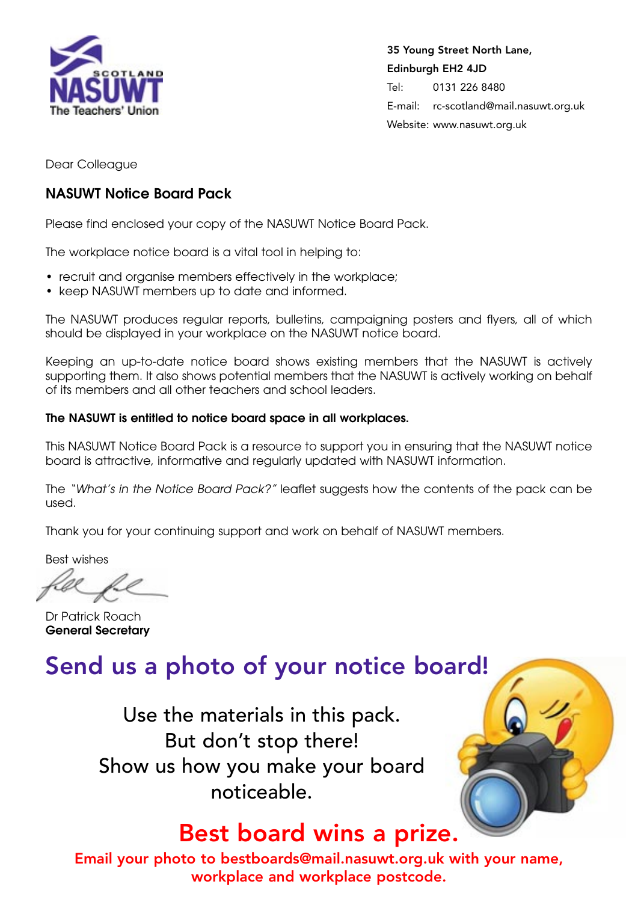

**35 Young Street North Lane, Edinburgh EH2 4JD** Tel: 0131 226 8480 E-mail: rc-scotland@mail.nasuwt.org.uk Website: www.nasuwt.org.uk

Dear Colleague

### **NASUWT Notice Board Pack**

Please find enclosed your copy of the NASUWT Notice Board Pack.

The workplace notice board is a vital tool in helping to:

- recruit and organise members effectively in the workplace;
- keep NASUWT members up to date and informed.

The NASUWT produces regular reports, bulletins, campaigning posters and flyers, all of which should be displayed in your workplace on the NASUWT notice board.

Keeping an up-to-date notice board shows existing members that the NASUWT is actively supporting them. It also shows potential members that the NASUWT is actively working on behalf of its members and all other teachers and school leaders.

#### **The NASUWT is entitled to notice board space in all workplaces.**

This NASUWT Notice Board Pack is a resource to support you in ensuring that the NASUWT notice board is attractive, informative and regularly updated with NASUWT information.

The "What's in the Notice Board Pack?" leaflet suggests how the contents of the pack can be used.

Thank you for your continuing support and work on behalf of NASUWT members.

Best wishes

Dr Patrick Roach **General Secretary**

### **Send us a photo of your notice board!**

Use the materials in this pack. But don't stop there! Show us how you make your board noticeable.

### **Best board wins a prize.**

**Email your photo to bestboards@mail.nasuwt.org.uk with your name, workplace and workplace postcode.**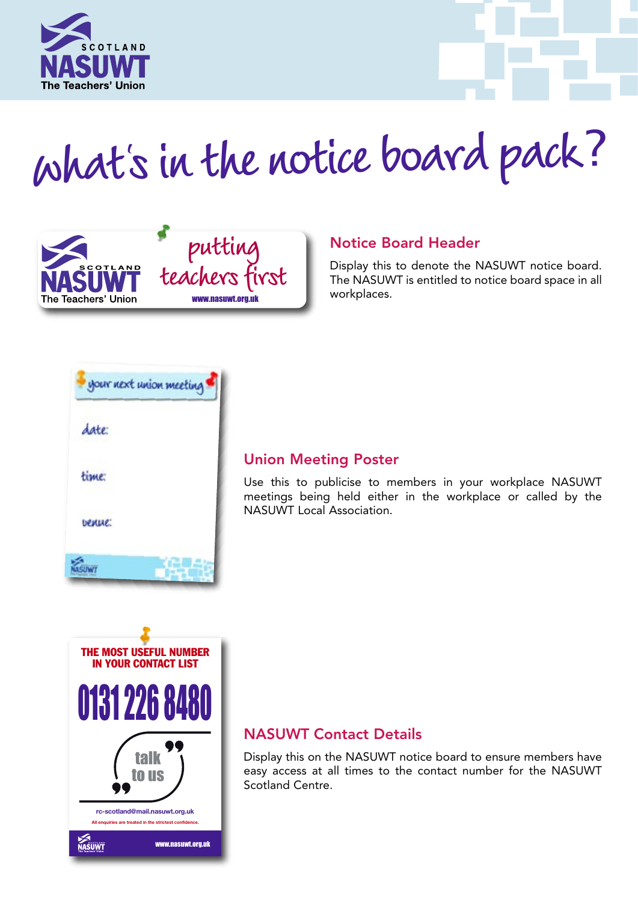

# **whats in the notice board pack**? **<sup>l</sup>**



### **Notice Board Header**

Display this to denote the NASUWT notice board. The NASUWT is entitled to notice board space in all workplaces.



### **Union Meeting Poster**

Use this to publicise to members in your workplace NASUWT meetings being held either in the workplace or called by the NASUWT Local Association.



### **NASUWT Contact Details**

Display this on the NASUWT notice board to ensure members have easy access at all times to the contact number for the NASUWT Scotland Centre.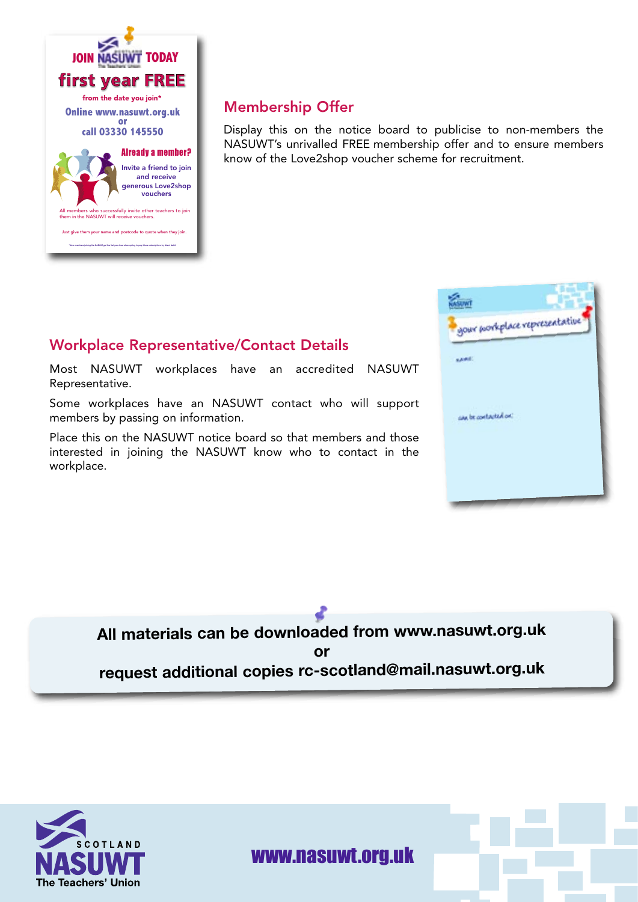

### **Membership Offer**

Display this on the notice board to publicise to non-members the NASUWT's unrivalled FREE membership offer and to ensure members know of the Love2shop voucher scheme for recruitment.

# gour porkplace representative case be contacted on:

### **Workplace Representative/Contact Details**

Most NASUWT workplaces have an accredited NASUWT Representative.

Some workplaces have an NASUWT contact who will support members by passing on information.

Place this on the NASUWT notice board so that members and those interested in joining the NASUWT know who to contact in the workplace.

> **All materials can be downloaded from www.nasuwt.org.uk or request additional copies rc-scotland@mail.nasuwt.org.uk**



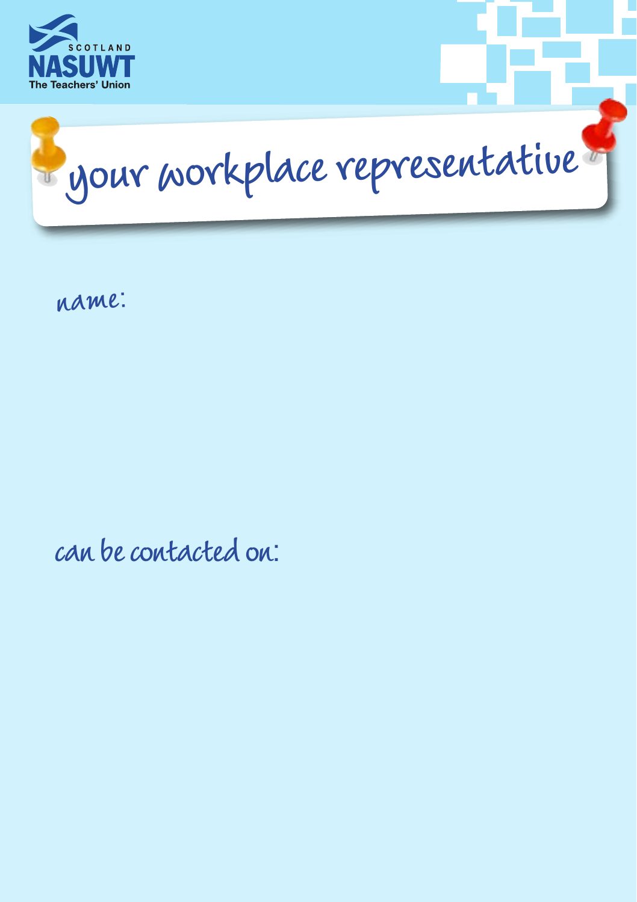



**name**:

**can be contacted on**: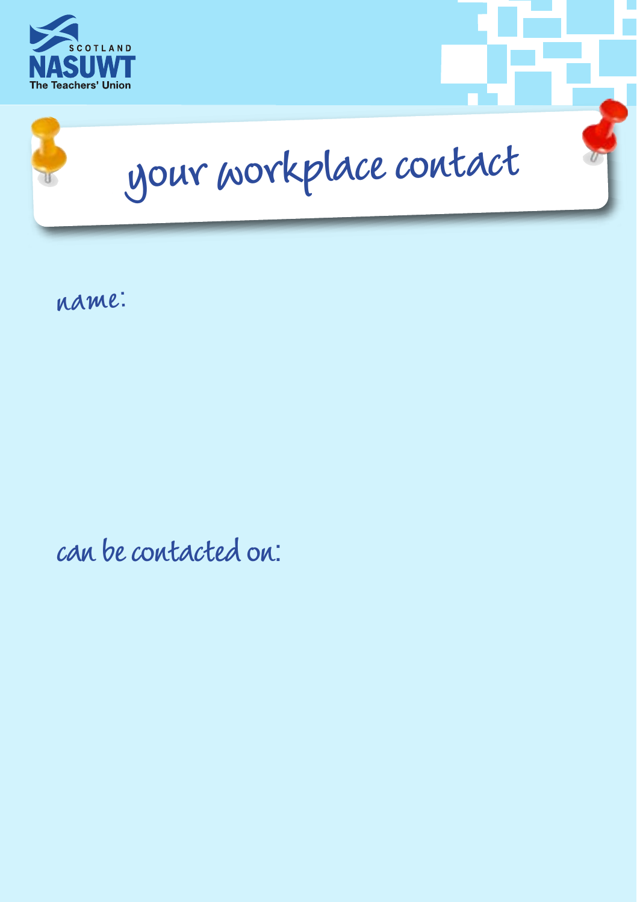



**name**:

**can be contacted on**: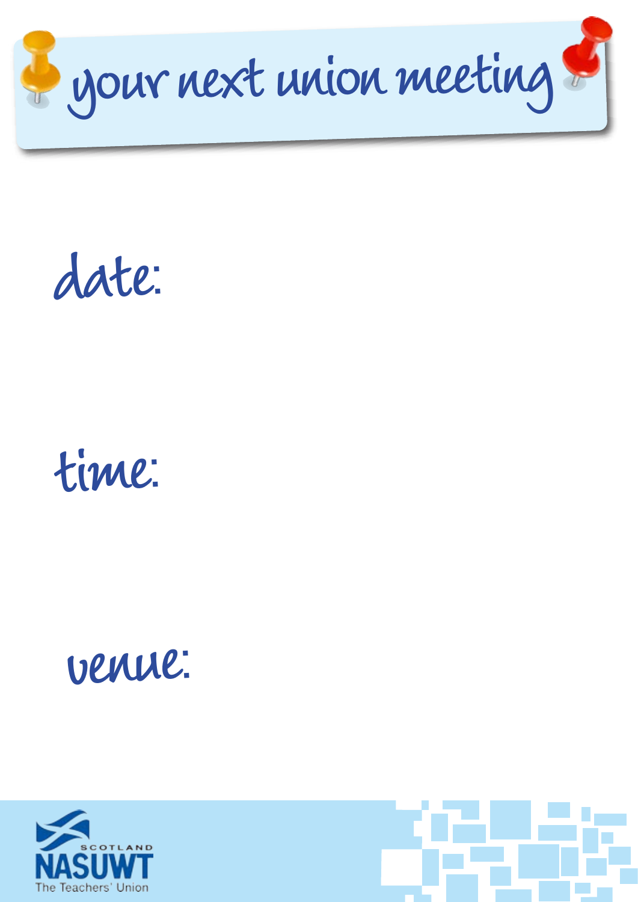

**date**:



## **venue**:



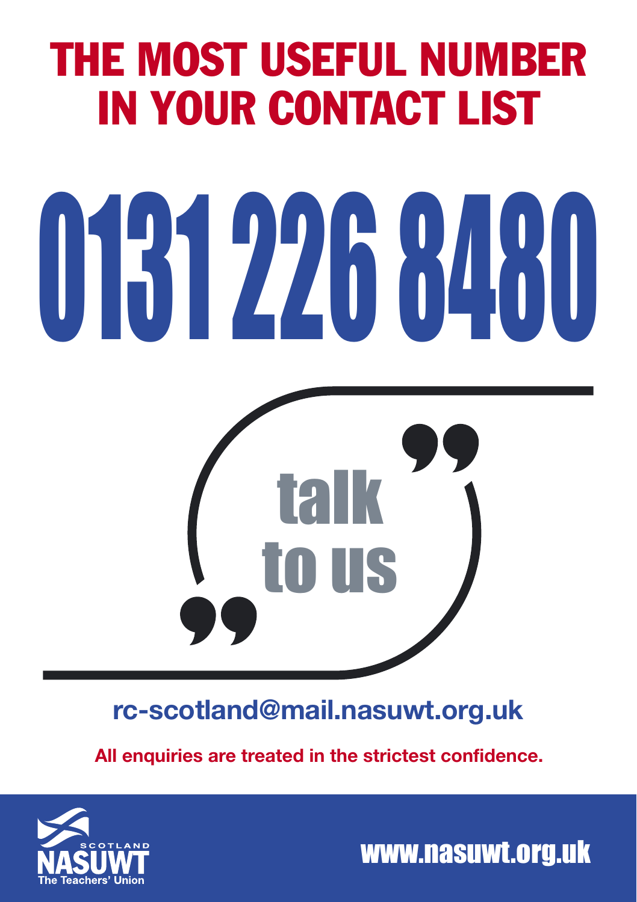### THE MOST USEFUL NUMBER IN YOUR CONTACT LIST

# 0131 226 8480



**rc-scotland@mail.nasuwt.org.uk**

**All enquiries are treated in the strictest confidence.**



www.nasuwt.org.uk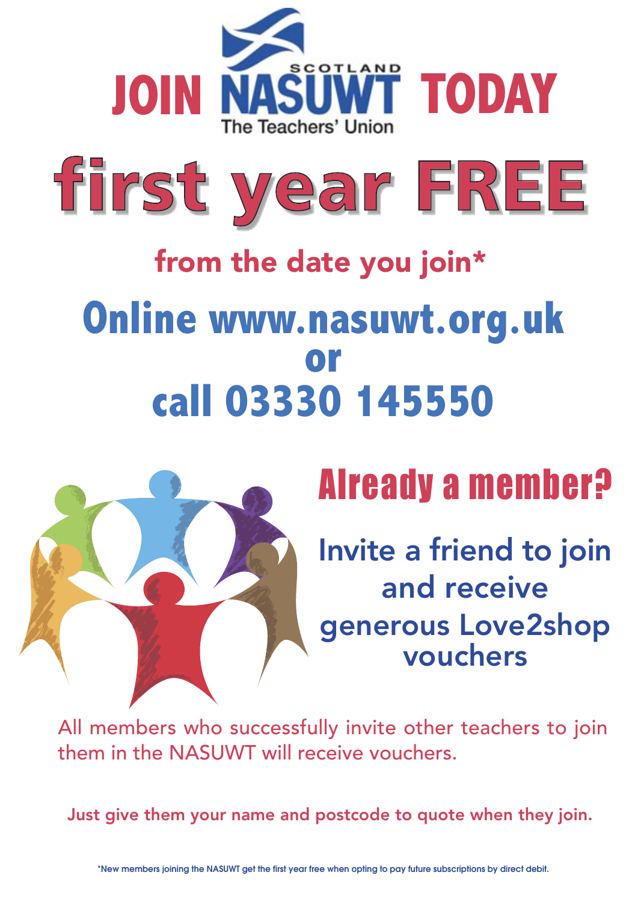



# **from the date you join\* Online www.nasuwt.org.uk**  call 03330 145550



## Already a member?

**Invite a friend to join and receive generous Love2shop vouchers**

All members who successfully invite other teachers to join them in the NASUWT will receive vouchers.

**Just give them your name and postcode to quote when they join.**